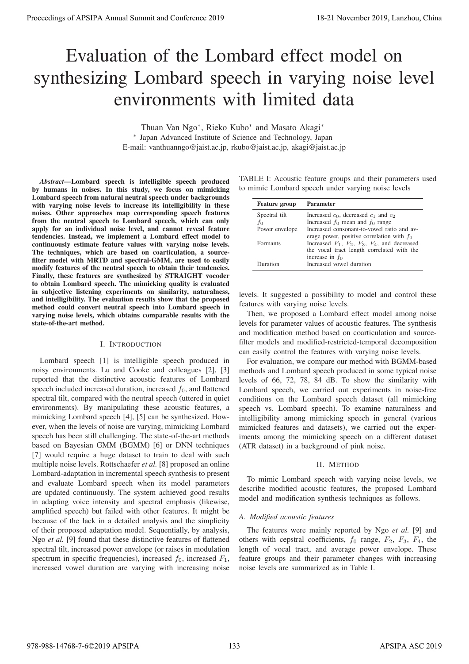# Evaluation of the Lombard effect model on synthesizing Lombard speech in varying noise level environments with limited data

Thuan Van Ngo∗, Rieko Kubo∗ and Masato Akagi∗ ∗ Japan Advanced Institute of Science and Technology, Japan E-mail: vanthuanngo@jaist.ac.jp, rkubo@jaist.ac.jp, akagi@jaist.ac.jp

*Abstract*—Lombard speech is intelligible speech produced by humans in noises. In this study, we focus on mimicking Lombard speech from natural neutral speech under backgrounds with varying noise levels to increase its intelligibility in these noises. Other approaches map corresponding speech features from the neutral speech to Lombard speech, which can only apply for an individual noise level, and cannot reveal feature tendencies. Instead, we implement a Lombard effect model to continuously estimate feature values with varying noise levels. The techniques, which are based on coarticulation, a sourcefilter model with MRTD and spectral-GMM, are used to easily modify features of the neutral speech to obtain their tendencies. Finally, these features are synthesized by STRAIGHT vocoder to obtain Lombard speech. The mimicking quality is evaluated in subjective listening experiments on similarity, naturalness, and intelligibility. The evaluation results show that the proposed method could convert neutral speech into Lombard speech in varying noise levels, which obtains comparable results with the state-of-the-art method.

## I. INTRODUCTION

Lombard speech [1] is intelligible speech produced in noisy environments. Lu and Cooke and colleagues [2], [3] reported that the distinctive acoustic features of Lombard speech included increased duration, increased  $f_0$ , and flattened spectral tilt, compared with the neutral speech (uttered in quiet environments). By manipulating these acoustic features, a mimicking Lombard speech [4], [5] can be synthesized. However, when the levels of noise are varying, mimicking Lombard speech has been still challenging. The state-of-the-art methods based on Bayesian GMM (BGMM) [6] or DNN techniques [7] would require a huge dataset to train to deal with such multiple noise levels. Rottschaefer *et al.* [8] proposed an online Lombard-adaptation in incremental speech synthesis to present and evaluate Lombard speech when its model parameters are updated continuously. The system achieved good results in adapting voice intensity and spectral emphasis (likewise, amplified speech) but failed with other features. It might be because of the lack in a detailed analysis and the simplicity of their proposed adaptation model. Sequentially, by analysis, Ngo *et al.* [9] found that these distinctive features of flattened spectral tilt, increased power envelope (or raises in modulation spectrum in specific frequencies), increased  $f_0$ , increased  $F_1$ , increased vowel duration are varying with increasing noise **Proceeding of APSIPA Annual Summit at Co-ference 2019**<br> **Example 2011 Conference 2019**<br> **Example 2012 Conference 2019**<br> **Example 2022 Conference 2022 Conference 2022 Conference 2022 Conference 2022 Conferen** 

TABLE I: Acoustic feature groups and their parameters used to mimic Lombard speech under varying noise levels

| <b>Feature group</b> | Parameter                                               |
|----------------------|---------------------------------------------------------|
| Spectral tilt        | Increased $c_0$ , decreased $c_1$ and $c_2$             |
| $f_0$                | Increased $f_0$ mean and $f_0$ range                    |
| Power envelope       | Increased consonant-to-yowel ratio and av-              |
|                      | erage power, positive correlation with $f_0$            |
| <b>Formants</b>      | Increased $F_1$ , $F_2$ , $F_3$ , $F_4$ , and decreased |
|                      | the vocal tract length correlated with the              |
|                      | increase in $f_0$                                       |
| Duration             | Increased vowel duration                                |

levels. It suggested a possibility to model and control these features with varying noise levels.

Then, we proposed a Lombard effect model among noise levels for parameter values of acoustic features. The synthesis and modification method based on coarticulation and sourcefilter models and modified-restricted-temporal decomposition can easily control the features with varying noise levels.

For evaluation, we compare our method with BGMM-based methods and Lombard speech produced in some typical noise levels of 66, 72, 78, 84 dB. To show the similarity with Lombard speech, we carried out experiments in noise-free conditions on the Lombard speech dataset (all mimicking speech vs. Lombard speech). To examine naturalness and intelligibility among mimicking speech in general (various mimicked features and datasets), we carried out the experiments among the mimicking speech on a different dataset (ATR dataset) in a background of pink noise.

# II. METHOD

To mimic Lombard speech with varying noise levels, we describe modified acoustic features, the proposed Lombard model and modification synthesis techniques as follows.

# *A. Modified acoustic features*

The features were mainly reported by Ngo *et al.* [9] and others with cepstral coefficients,  $f_0$  range,  $F_2$ ,  $F_3$ ,  $F_4$ , the length of vocal tract, and average power envelope. These feature groups and their parameter changes with increasing noise levels are summarized as in Table I.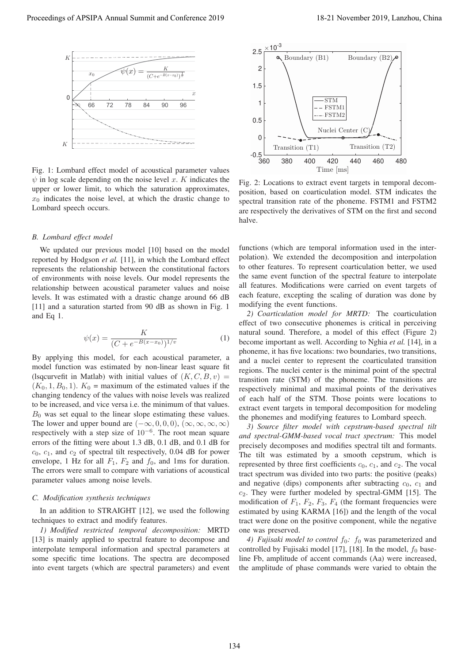

Fig. 1: Lombard effect model of acoustical parameter values  $\psi$  in log scale depending on the noise level x. K indicates the upper or lower limit, to which the saturation approximates,  $x_0$  indicates the noise level, at which the drastic change to Lombard speech occurs.

#### *B. Lombard effect model*

We updated our previous model [10] based on the model reported by Hodgson *et al.* [11], in which the Lombard effect represents the relationship between the constitutional factors of environments with noise levels. Our model represents the relationship between acoustical parameter values and noise levels. It was estimated with a drastic change around 66 dB [11] and a saturation started from 90 dB as shown in Fig. 1 and Eq 1.

$$
\psi(x) = \frac{K}{(C + e^{-B(x - x_0)})^{1/v}}
$$
(1)

By applying this model, for each acoustical parameter, a model function was estimated by non-linear least square fit (lsqcurvefit in Matlab) with initial values of  $(K, C, B, v)$  =  $(K_0, 1, B_0, 1)$ .  $K_0$  = maximum of the estimated values if the changing tendency of the values with noise levels was realized to be increased, and vice versa i.e. the minimum of that values.  $B_0$  was set equal to the linear slope estimating these values. The lower and upper bound are  $(-\infty, 0, 0, 0)$ ,  $(\infty, \infty, \infty, \infty)$ respectively with a step size of  $10^{-6}$ . The root mean square errors of the fitting were about 1.3 dB, 0.1 dB, and 0.1 dB for  $c_0$ ,  $c_1$ , and  $c_2$  of spectral tilt respectively, 0.04 dB for power envelope, 1 Hz for all  $F_1$ ,  $F_2$  and  $f_0$ , and 1ms for duration. The errors were small to compare with variations of acoustical parameter values among noise levels. Proceeding of APSIPA Annual Summit at Co-Go-Go-ZH19<br>
Proceedings of  $2^{2}$ <br>
Proceedings of  $2^{2}$ <br>
Conference 2019<br>
Conference 2019<br>
Conference 2019<br>
Conference 2019<br>
Conference 2019<br>
Conference 2019<br>
Conference 2019<br>
Con

#### *C. Modification synthesis techniques*

In an addition to STRAIGHT [12], we used the following techniques to extract and modify features.

*1) Modified restricted temporal decomposition:* MRTD [13] is mainly applied to spectral feature to decompose and interpolate temporal information and spectral parameters at some specific time locations. The spectra are decomposed into event targets (which are spectral parameters) and event



Fig. 2: Locations to extract event targets in temporal decomposition, based on coarticulation model. STM indicates the spectral transition rate of the phoneme. FSTM1 and FSTM2 are respectively the derivatives of STM on the first and second halve.

functions (which are temporal information used in the interpolation). We extended the decomposition and interpolation to other features. To represent coarticulation better, we used the same event function of the spectral feature to interpolate all features. Modifications were carried on event targets of each feature, excepting the scaling of duration was done by modifying the event functions.

*2) Coarticulation model for MRTD:* The coarticulation effect of two consecutive phonemes is critical in perceiving natural sound. Therefore, a model of this effect (Figure 2) become important as well. According to Nghia *et al.* [14], in a phoneme, it has five locations: two boundaries, two transitions, and a nuclei center to represent the coarticulated transition regions. The nuclei center is the minimal point of the spectral transition rate (STM) of the phoneme. The transitions are respectively minimal and maximal points of the derivatives of each half of the STM. Those points were locations to extract event targets in temporal decomposition for modeling the phonemes and modifying features to Lombard speech.

*3) Source filter model with cepstrum-based spectral tilt and spectral-GMM-based vocal tract spectrum:* This model precisely decomposes and modifies spectral tilt and formants. The tilt was estimated by a smooth cepstrum, which is represented by three first coefficients  $c_0$ ,  $c_1$ , and  $c_2$ . The vocal tract spectrum was divided into two parts: the positive (peaks) and negative (dips) components after subtracting  $c_0$ ,  $c_1$  and  $c_2$ . They were further modeled by spectral-GMM [15]. The modification of  $F_1$ ,  $F_2$ ,  $F_3$ ,  $F_4$  (the formant frequencies were estimated by using KARMA [16]) and the length of the vocal tract were done on the positive component, while the negative one was preserved.

*4) Fujisaki model to control*  $f_0$ :  $f_0$  was parameterized and controlled by Fujisaki model [17], [18]. In the model,  $f_0$  baseline Fb, amplitude of accent commands (Aa) were increased, the amplitude of phase commands were varied to obtain the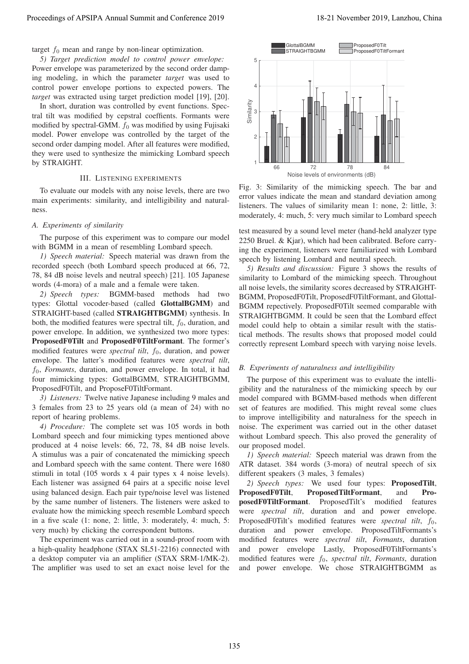*5) Target prediction model to control power envelope:* Power envelope was parameterized by the second order damping modeling, in which the parameter *target* was used to control power envelope portions to expected powers. The *target* was extracted using target prediction model [19], [20].

In short, duration was controlled by event functions. Spectral tilt was modified by cepstral coeffients. Formants were modified by spectral-GMM.  $f_0$  was modified by using Fujisaki model. Power envelope was controlled by the target of the second order damping model. After all features were modified, they were used to synthesize the mimicking Lombard speech by STRAIGHT.

### III. LISTENING EXPERIMENTS

To evaluate our models with any noise levels, there are two main experiments: similarity, and intelligibility and naturalness.

## *A. Experiments of similarity*

The purpose of this experiment was to compare our model with BGMM in a mean of resembling Lombard speech.

*1) Speech material:* Speech material was drawn from the recorded speech (both Lombard speech produced at 66, 72, 78, 84 dB noise levels and neutral speech) [21]. 105 Japanese words (4-mora) of a male and a female were taken.

*2) Speech types:* BGMM-based methods had two types: Glottal vocoder-based (called GlottalBGMM) and STRAIGHT-based (called STRAIGHTBGMM) synthesis. In both, the modified features were spectral tilt,  $f_0$ , duration, and power envelope. In addition, we synthesized two more types: ProposedF0Tilt and ProposedF0TiltFormant. The former's modified features were *spectral tilt*,  $f_0$ , duration, and power envelope. The latter's modified features were *spectral tilt*, <sup>f</sup><sup>0</sup>, *Formants*, duration, and power envelope. In total, it had four mimicking types: GottalBGMM, STRAIGHTBGMM, ProposedF0Tilt, and ProposeF0TiltFormant.

*3) Listeners:* Twelve native Japanese including 9 males and 3 females from 23 to 25 years old (a mean of 24) with no report of hearing problems.

*4) Procedure:* The complete set was 105 words in both Lombard speech and four mimicking types mentioned above produced at 4 noise levels: 66, 72, 78, 84 dB noise levels. A stimulus was a pair of concatenated the mimicking speech and Lombard speech with the same content. There were 1680 stimuli in total (105 words x 4 pair types x 4 noise levels). Each listener was assigned 64 pairs at a specific noise level using balanced design. Each pair type/noise level was listened by the same number of listeners. The listeners were asked to evaluate how the mimicking speech resemble Lombard speech in a five scale (1: none, 2: little, 3: moderately, 4: much, 5: very much) by clicking the correspondent buttons.

The experiment was carried out in a sound-proof room with a high-quality headphone (STAX SL51-2216) connected with a desktop computer via an amplifier (STAX SRM-1/MK-2). The amplifier was used to set an exact noise level for the



Fig. 3: Similarity of the mimicking speech. The bar and error values indicate the mean and standard deviation among listeners. The values of similarity mean 1: none, 2: little, 3: moderately, 4: much, 5: very much similar to Lombard speech

test measured by a sound level meter (hand-held analyzer type 2250 Bruel. & Kjar), which had been calibrated. Before carrying the experiment, listeners were familiarized with Lombard speech by listening Lombard and neutral speech.

*5) Results and discussion:* Figure 3 shows the results of similarity to Lombard of the mimicking speech. Throughout all noise levels, the similarity scores decreased by STRAIGHT-BGMM, ProposedF0Tilt, ProposedF0TiltFormant, and Glottal-BGMM repectively. ProposedF0Tilt seemed comparable with STRAIGHTBGMM. It could be seen that the Lombard effect model could help to obtain a similar result with the statistical methods. The results shows that proposed model could correctly represent Lombard speech with varying noise levels.

# *B. Experiments of naturalness and intelligibility*

The purpose of this experiment was to evaluate the intelligibility and the naturalness of the mimicking speech by our model compared with BGMM-based methods when different set of features are modified. This might reveal some clues to improve intelligibility and naturalness for the speech in noise. The experiment was carried out in the other dataset without Lombard speech. This also proved the generality of our proposed model.

*1) Speech material:* Speech material was drawn from the ATR dataset. 384 words (3-mora) of neutral speech of six different speakers (3 males, 3 females)

*2) Speech types:* We used four types: ProposedTilt, ProposedF0Tilt, ProposedTiltFormant, and ProposedF0TiltFormant. ProposedTilt's modified features were *spectral tilt*, duration and and power envelope. ProposedF0Tilt's modified features were *spectral tilt*,  $f_0$ , duration and power envelope. ProposedTiltFormants's modified features were *spectral tilt*, *Formants*, duration and power envelope Lastly, ProposedF0TiltFormants's modified features were  $f_0$ , *spectral tilt*, *Formants*, duration and power envelope. We chose STRAIGHTBGMM as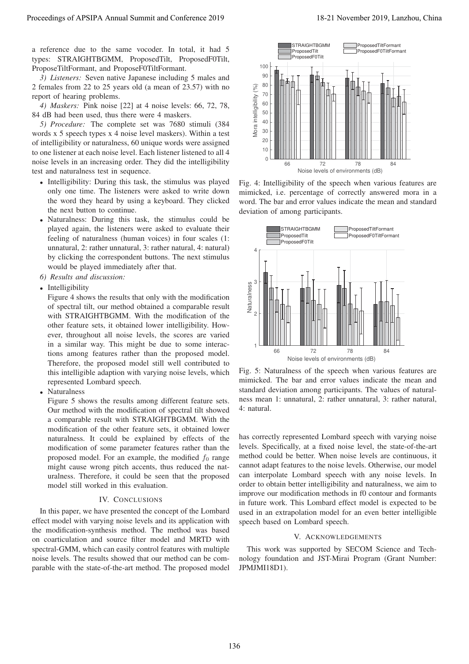a reference due to the same vocoder. In total, it had 5 types: STRAIGHTBGMM, ProposedTilt, ProposedF0Tilt, ProposeTiltFormant, and ProposeF0TiltFormant.

*3) Listeners:* Seven native Japanese including 5 males and 2 females from 22 to 25 years old (a mean of 23.57) with no report of hearing problems.

*4) Maskers:* Pink noise [22] at 4 noise levels: 66, 72, 78, 84 dB had been used, thus there were 4 maskers.

*5) Procedure:* The complete set was 7680 stimuli (384 words x 5 speech types x 4 noise level maskers). Within a test of intelligibility or naturalness, 60 unique words were assigned to one listener at each noise level. Each listener listened to all 4 noise levels in an increasing order. They did the intelligibility test and naturalness test in sequence.

- Intelligibility: During this task, the stimulus was played only one time. The listeners were asked to write down the word they heard by using a keyboard. They clicked the next button to continue.
- Naturalness: During this task, the stimulus could be played again, the listeners were asked to evaluate their feeling of naturalness (human voices) in four scales (1: unnatural, 2: rather unnatural, 3: rather natural, 4: natural) by clicking the correspondent buttons. The next stimulus would be played immediately after that.
- *6) Results and discussion:*
- Intelligibility

Figure 4 shows the results that only with the modification of spectral tilt, our method obtained a comparable result with STRAIGHTBGMM. With the modification of the other feature sets, it obtained lower intelligibility. However, throughout all noise levels, the scores are varied in a similar way. This might be due to some interactions among features rather than the proposed model. Therefore, the proposed model still well contributed to this intelligible adaption with varying noise levels, which represented Lombard speech.

**Naturalness** 

Figure 5 shows the results among different feature sets. Our method with the modification of spectral tilt showed a comparable result with STRAIGHTBGMM. With the modification of the other feature sets, it obtained lower naturalness. It could be explained by effects of the modification of some parameter features rather than the proposed model. For an example, the modified  $f_0$  range might cause wrong pitch accents, thus reduced the naturalness. Therefore, it could be seen that the proposed model still worked in this evaluation.

## IV. CONCLUSIONS

In this paper, we have presented the concept of the Lombard effect model with varying noise levels and its application with the modification-synthesis method. The method was based on coarticulation and source filter model and MRTD with spectral-GMM, which can easily control features with multiple noise levels. The results showed that our method can be comparable with the state-of-the-art method. The proposed model



Fig. 4: Intelligibility of the speech when various features are mimicked, i.e. percentage of correctly answered mora in a word. The bar and error values indicate the mean and standard deviation of among participants.



Fig. 5: Naturalness of the speech when various features are mimicked. The bar and error values indicate the mean and standard deviation among participants. The values of naturalness mean 1: unnatural, 2: rather unnatural, 3: rather natural, 4: natural.

has correctly represented Lombard speech with varying noise levels. Specifically, at a fixed noise level, the state-of-the-art method could be better. When noise levels are continuous, it cannot adapt features to the noise levels. Otherwise, our model can interpolate Lombard speech with any noise levels. In order to obtain better intelligibility and naturalness, we aim to improve our modification methods in f0 contour and formants in future work. This Lombard effect model is expected to be used in an extrapolation model for an even better intelligible speech based on Lombard speech.

#### V. ACKNOWLEDGEMENTS

This work was supported by SECOM Science and Technology foundation and JST-Mirai Program (Grant Number: JPMJMI18D1).